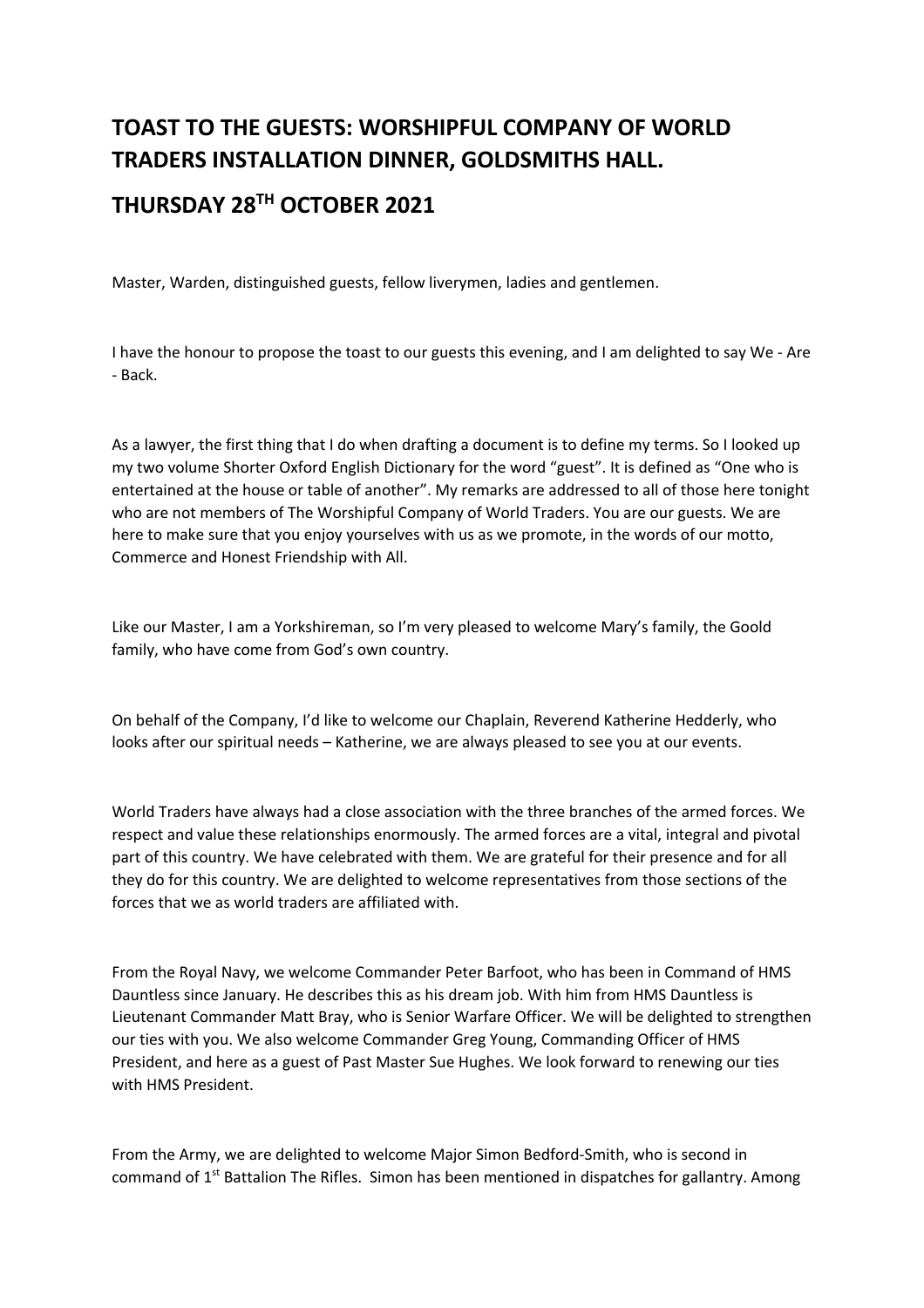## **TOAST TO THE GUESTS: WORSHIPFUL COMPANY OF WORLD TRADERS INSTALLATION DINNER, GOLDSMITHS HALL.**

## **THURSDAY 28TH OCTOBER 2021**

Master, Warden, distinguished guests, fellow liverymen, ladies and gentlemen.

I have the honour to propose the toast to our guests this evening, and I am delighted to say We - Are - Back.

As a lawyer, the first thing that I do when drafting a document is to define my terms. So I looked up my two volume Shorter Oxford English Dictionary for the word "guest". It is defined as "One who is entertained at the house or table of another". My remarks are addressed to all of those here tonight who are not members of The Worshipful Company of World Traders. You are our guests. We are here to make sure that you enjoy yourselves with us as we promote, in the words of our motto, Commerce and Honest Friendship with All.

Like our Master, I am a Yorkshireman, so I'm very pleased to welcome Mary's family, the Goold family, who have come from God's own country.

On behalf of the Company, I'd like to welcome our Chaplain, Reverend Katherine Hedderly, who looks after our spiritual needs – Katherine, we are always pleased to see you at our events.

World Traders have always had a close association with the three branches of the armed forces. We respect and value these relationships enormously. The armed forces are a vital, integral and pivotal part of this country. We have celebrated with them. We are grateful for their presence and for all they do for this country. We are delighted to welcome representatives from those sections of the forces that we as world traders are affiliated with.

From the Royal Navy, we welcome Commander Peter Barfoot, who has been in Command of HMS Dauntless since January. He describes this as his dream job. With him from HMS Dauntless is Lieutenant Commander Matt Bray, who is Senior Warfare Officer. We will be delighted to strengthen our ties with you. We also welcome Commander Greg Young, Commanding Officer of HMS President, and here as a guest of Past Master Sue Hughes. We look forward to renewing our ties with HMS President.

From the Army, we are delighted to welcome Major Simon Bedford-Smith, who is second in command of  $1<sup>st</sup>$  Battalion The Rifles. Simon has been mentioned in dispatches for gallantry. Among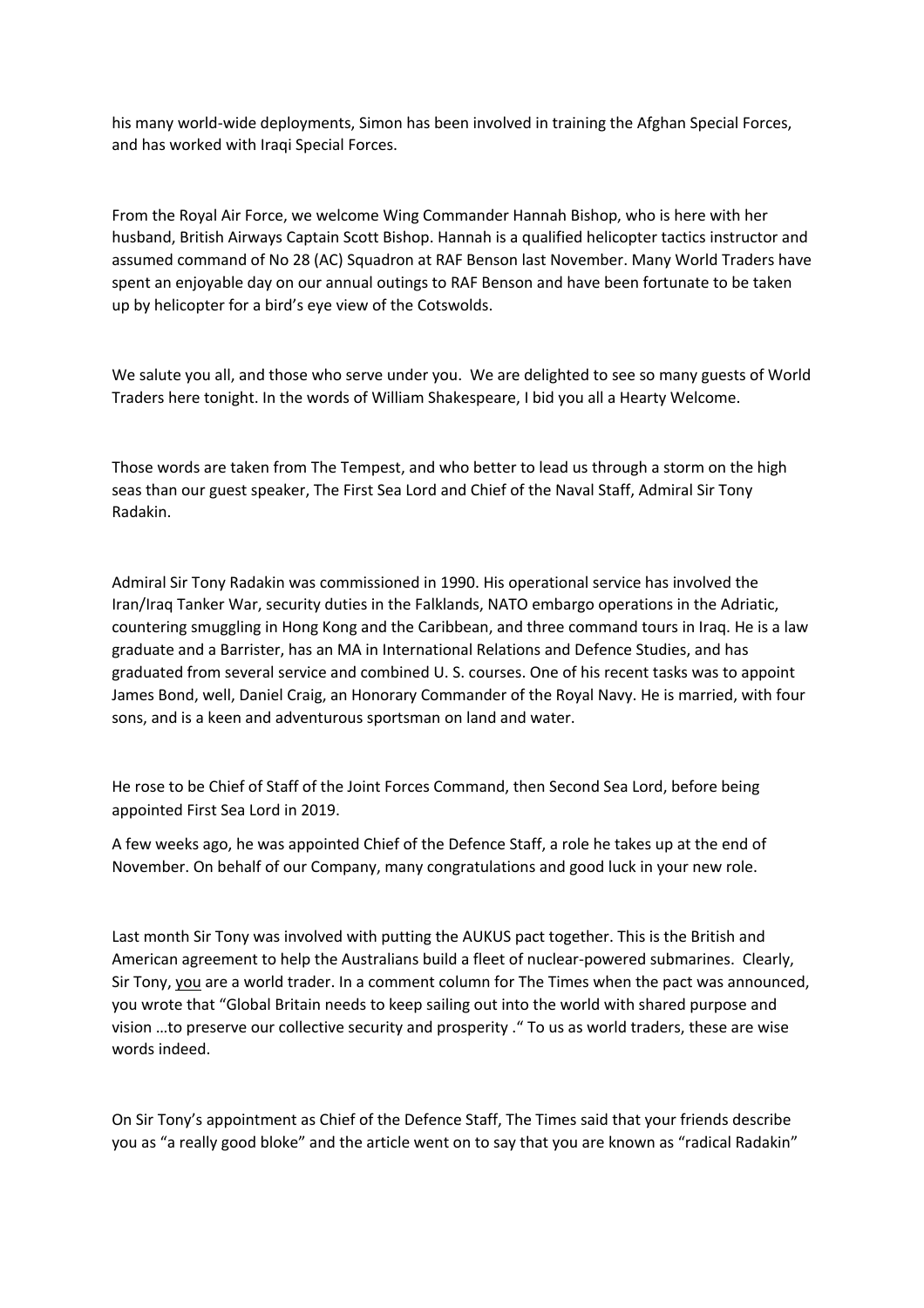his many world-wide deployments, Simon has been involved in training the Afghan Special Forces, and has worked with Iraqi Special Forces.

From the Royal Air Force, we welcome Wing Commander Hannah Bishop, who is here with her husband, British Airways Captain Scott Bishop. Hannah is a qualified helicopter tactics instructor and assumed command of No 28 (AC) Squadron at RAF Benson last November. Many World Traders have spent an enjoyable day on our annual outings to RAF Benson and have been fortunate to be taken up by helicopter for a bird's eye view of the Cotswolds.

We salute you all, and those who serve under you. We are delighted to see so many guests of World Traders here tonight. In the words of William Shakespeare, I bid you all a Hearty Welcome.

Those words are taken from The Tempest, and who better to lead us through a storm on the high seas than our guest speaker, The First Sea Lord and Chief of the Naval Staff, Admiral Sir Tony Radakin.

Admiral Sir Tony Radakin was commissioned in 1990. His operational service has involved the Iran/Iraq Tanker War, security duties in the Falklands, NATO embargo operations in the Adriatic, countering smuggling in Hong Kong and the Caribbean, and three command tours in Iraq. He is a law graduate and a Barrister, has an MA in International Relations and Defence Studies, and has graduated from several service and combined U. S. courses. One of his recent tasks was to appoint James Bond, well, Daniel Craig, an Honorary Commander of the Royal Navy. He is married, with four sons, and is a keen and adventurous sportsman on land and water.

He rose to be Chief of Staff of the Joint Forces Command, then Second Sea Lord, before being appointed First Sea Lord in 2019.

A few weeks ago, he was appointed Chief of the Defence Staff, a role he takes up at the end of November. On behalf of our Company, many congratulations and good luck in your new role.

Last month Sir Tony was involved with putting the AUKUS pact together. This is the British and American agreement to help the Australians build a fleet of nuclear-powered submarines. Clearly, Sir Tony, you are a world trader. In a comment column for The Times when the pact was announced, you wrote that "Global Britain needs to keep sailing out into the world with shared purpose and vision …to preserve our collective security and prosperity ." To us as world traders, these are wise words indeed.

On Sir Tony's appointment as Chief of the Defence Staff, The Times said that your friends describe you as "a really good bloke" and the article went on to say that you are known as "radical Radakin"